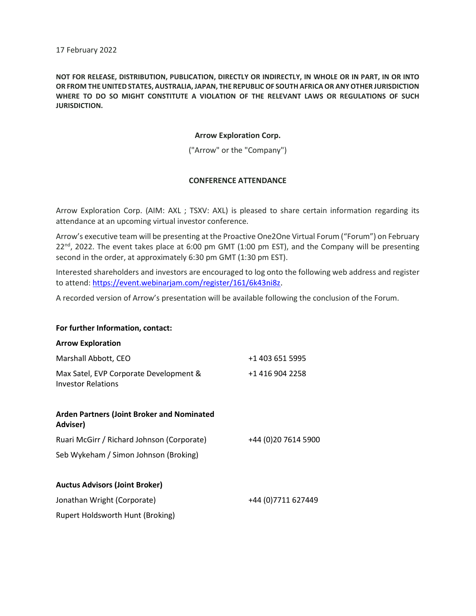17 February 2022

NOT FOR RELEASE, DISTRIBUTION, PUBLICATION, DIRECTLY OR INDIRECTLY, IN WHOLE OR IN PART, IN OR INTO OR FROM THE UNITED STATES, AUSTRALIA, JAPAN, THE REPUBLIC OF SOUTH AFRICA OR ANY OTHER JURISDICTION WHERE TO DO SO MIGHT CONSTITUTE A VIOLATION OF THE RELEVANT LAWS OR REGULATIONS OF SUCH JURISDICTION.

# Arrow Exploration Corp.

("Arrow" or the "Company")

# CONFERENCE ATTENDANCE

Arrow Exploration Corp. (AIM: AXL ; TSXV: AXL) is pleased to share certain information regarding its attendance at an upcoming virtual investor conference.

Arrow's executive team will be presenting at the Proactive One2One Virtual Forum ("Forum") on February  $22^{nd}$ , 2022. The event takes place at 6:00 pm GMT (1:00 pm EST), and the Company will be presenting second in the order, at approximately 6:30 pm GMT (1:30 pm EST).

Interested shareholders and investors are encouraged to log onto the following web address and register to attend: https://event.webinarjam.com/register/161/6k43ni8z.

A recorded version of Arrow's presentation will be available following the conclusion of the Forum.

## For further Information, contact:

### Arrow Exploration

| Marshall Abbott, CEO                                                | +1 403 651 5995     |
|---------------------------------------------------------------------|---------------------|
| Max Satel, EVP Corporate Development &<br><b>Investor Relations</b> | +1 416 904 2258     |
| <b>Arden Partners (Joint Broker and Nominated</b><br>Adviser)       |                     |
| Ruari McGirr / Richard Johnson (Corporate)                          | +44 (0)20 7614 5900 |
| Seb Wykeham / Simon Johnson (Broking)                               |                     |
| <b>Auctus Advisors (Joint Broker)</b>                               |                     |
| Jonathan Wright (Corporate)                                         | +44 (0) 7711 627449 |
| Rupert Holdsworth Hunt (Broking)                                    |                     |